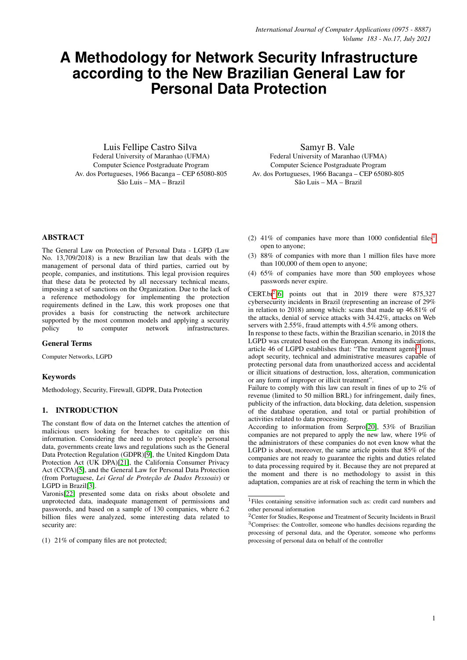# **A Methodology for Network Security Infrastructure according to the New Brazilian General Law for Personal Data Protection**

Luis Fellipe Castro Silva Federal University of Maranhao (UFMA) Computer Science Postgraduate Program Av. dos Portugueses, 1966 Bacanga – CEP 65080-805 São Luis – MA – Brazil

Samyr B. Vale Federal University of Maranhao (UFMA) Computer Science Postgraduate Program Av. dos Portugueses, 1966 Bacanga – CEP 65080-805 São Luis – MA – Brazil

ABSTRACT

The General Law on Protection of Personal Data - LGPD (Law No. 13,709/2018) is a new Brazilian law that deals with the management of personal data of third parties, carried out by people, companies, and institutions. This legal provision requires that these data be protected by all necessary technical means, imposing a set of sanctions on the Organization. Due to the lack of a reference methodology for implementing the protection requirements defined in the Law, this work proposes one that provides a basis for constructing the network architecture supported by the most common models and applying a security policy to computer network infrastructures.

## General Terms

Computer Networks, LGPD

#### Keywords

Methodology, Security, Firewall, GDPR, Data Protection

## 1. INTRODUCTION

The constant flow of data on the Internet catches the attention of malicious users looking for breaches to capitalize on this information. Considering the need to protect people's personal data, governments create laws and regulations such as the General Data Protection Regulation (GDPR)[\[9\]](#page-7-0), the United Kingdom Data Protection Act (UK DPA)[\[21\]](#page-7-1), the California Consumer Privacy Act (CCPA)[\[5\]](#page-7-2), and the General Law for Personal Data Protection (from Portuguese, *Lei Geral de Proteção de Dados Pessoais*) or LGPD in Brazil[\[3\]](#page-7-3).

Varonis[\[22\]](#page-7-4) presented some data on risks about obsolete and unprotected data, inadequate management of permissions and passwords, and based on a sample of 130 companies, where 6.2 billion files were analyzed, some interesting data related to security are:

(1) 21% of company files are not protected;

- (2)  $41\%$  $41\%$  $41\%$  of companies have more than 1000 confidential files<sup>1</sup> open to anyone;
- (3) 88% of companies with more than 1 million files have more than 100,000 of them open to anyone;
- (4) 65% of companies have more than 500 employees whose passwords never expire.

CERT.br[2](#page-0-1) [\[6\]](#page-7-5) points out that in 2019 there were 875,327 cybersecurity incidents in Brazil (representing an increase of 29% in relation to 2018) among which: scans that made up 46.81% of the attacks, denial of service attacks with 34.42%, attacks on Web servers with 2.55%, fraud attempts with 4.5% among others.

In response to these facts, within the Brazilian scenario, in 2018 the LGPD was created based on the European. Among its indications, article 46 of LGPD establishes that: "The treatment agents<sup>[3](#page-0-2)</sup> must adopt security, technical and administrative measures capable of protecting personal data from unauthorized access and accidental or illicit situations of destruction, loss, alteration, communication or any form of improper or illicit treatment".

Failure to comply with this law can result in fines of up to 2% of revenue (limited to 50 million BRL) for infringement, daily fines, publicity of the infraction, data blocking, data deletion, suspension of the database operation, and total or partial prohibition of activities related to data processing.

According to information from Serpro[\[20\]](#page-7-6), 53% of Brazilian companies are not prepared to apply the new law, where 19% of the administrators of these companies do not even know what the LGPD is about, moreover, the same article points that 85% of the companies are not ready to guarantee the rights and duties related to data processing required by it. Because they are not prepared at the moment and there is no methodology to assist in this adaptation, companies are at risk of reaching the term in which the

<span id="page-0-0"></span><sup>1</sup>Files containing sensitive information such as: credit card numbers and other personal information

<span id="page-0-2"></span><span id="page-0-1"></span><sup>&</sup>lt;sup>2</sup> Center for Studies, Response and Treatment of Security Incidents in Brazil <sup>3</sup>Comprises: the Controller, someone who handles decisions regarding the processing of personal data, and the Operator, someone who performs processing of personal data on behalf of the controller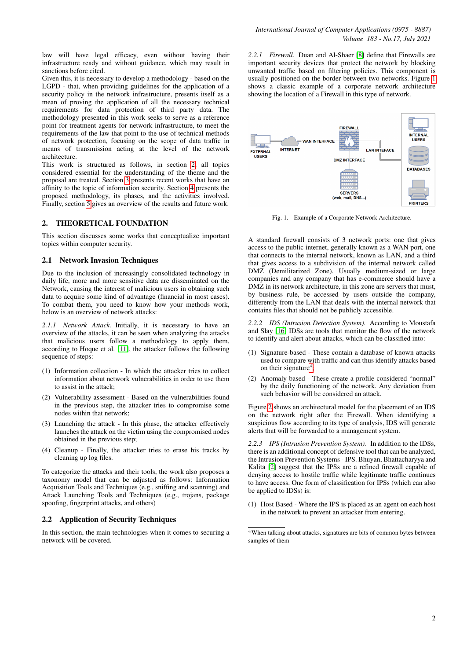law will have legal efficacy, even without having their infrastructure ready and without guidance, which may result in sanctions before cited.

Given this, it is necessary to develop a methodology - based on the LGPD - that, when providing guidelines for the application of a security policy in the network infrastructure, presents itself as a mean of proving the application of all the necessary technical requirements for data protection of third party data. The methodology presented in this work seeks to serve as a reference point for treatment agents for network infrastructure, to meet the requirements of the law that point to the use of technical methods of network protection, focusing on the scope of data traffic in means of transmission acting at the level of the network architecture.

This work is structured as follows, in section [2,](#page-1-0) all topics considered essential for the understanding of the theme and the proposal are treated. Section [3](#page-2-0) presents recent works that have an affinity to the topic of information security. Section [4](#page-3-0) presents the proposed methodology, its phases, and the activities involved. Finally, section [5](#page-7-7) gives an overview of the results and future work.

# <span id="page-1-0"></span>2. THEORETICAL FOUNDATION

This section discusses some works that conceptualize important topics within computer security.

## 2.1 Network Invasion Techniques

Due to the inclusion of increasingly consolidated technology in daily life, more and more sensitive data are disseminated on the Network, causing the interest of malicious users in obtaining such data to acquire some kind of advantage (financial in most cases). To combat them, you need to know how your methods work, below is an overview of network attacks:

*2.1.1 Network Attack.* Initially, it is necessary to have an overview of the attacks, it can be seen when analyzing the attacks that malicious users follow a methodology to apply them, according to Hoque et al. [\[11\]](#page-7-8), the attacker follows the following sequence of steps:

- (1) Information collection In which the attacker tries to collect information about network vulnerabilities in order to use them to assist in the attack;
- (2) Vulnerability assessment Based on the vulnerabilities found in the previous step, the attacker tries to compromise some nodes within that network;
- (3) Launching the attack In this phase, the attacker effectively launches the attack on the victim using the compromised nodes obtained in the previous step;
- (4) Cleanup Finally, the attacker tries to erase his tracks by cleaning up log files.

To categorize the attacks and their tools, the work also proposes a taxonomy model that can be adjusted as follows: Information Acquisition Tools and Techniques (e.g., sniffing and scanning) and Attack Launching Tools and Techniques (e.g., trojans, package spoofing, fingerprint attacks, and others)

## 2.2 Application of Security Techniques

In this section, the main technologies when it comes to securing a network will be covered.

*2.2.1 Firewall.* Duan and Al-Shaer [\[8\]](#page-7-9) define that Firewalls are important security devices that protect the network by blocking unwanted traffic based on filtering policies. This component is usually positioned on the border between two networks. Figure [1](#page-1-1) shows a classic example of a corporate network architecture showing the location of a Firewall in this type of network.



<span id="page-1-1"></span>Fig. 1. Example of a Corporate Network Architecture.

A standard firewall consists of 3 network ports: one that gives access to the public internet, generally known as a WAN port, one that connects to the internal network, known as LAN, and a third that gives access to a subdivision of the internal network called DMZ (Demilitarized Zone). Usually medium-sized or large companies and any company that has e-commerce should have a DMZ in its network architecture, in this zone are servers that must, by business rule, be accessed by users outside the company, differently from the LAN that deals with the internal network that contains files that should not be publicly accessible.

*2.2.2 IDS (Intrusion Detection System).* According to Moustafa and Slay [\[16\]](#page-7-10) IDSs are tools that monitor the flow of the network to identify and alert about attacks, which can be classified into:

- (1) Signature-based These contain a database of known attacks used to compare with traffic and can thus identify attacks based on their signature<sup>[4](#page-1-2)</sup>;
- (2) Anomaly based These create a profile considered "normal" by the daily functioning of the network. Any deviation from such behavior will be considered an attack.

Figure [2](#page-2-1) shows an architectural model for the placement of an IDS on the network right after the Firewall. When identifying a suspicious flow according to its type of analysis, IDS will generate alerts that will be forwarded to a management system.

*2.2.3 IPS (Intrusion Prevention System).* In addition to the IDSs, there is an additional concept of defensive tool that can be analyzed, the Intrusion Prevention Systems - IPS. Bhuyan, Bhattacharyya and Kalita [\[2\]](#page-7-11) suggest that the IPSs are a refined firewall capable of denying access to hostile traffic while legitimate traffic continues to have access. One form of classification for IPSs (which can also be applied to IDSs) is:

(1) Host Based - Where the IPS is placed as an agent on each host in the network to prevent an attacker from entering.

<span id="page-1-2"></span><sup>&</sup>lt;sup>4</sup>When talking about attacks, signatures are bits of common bytes between samples of them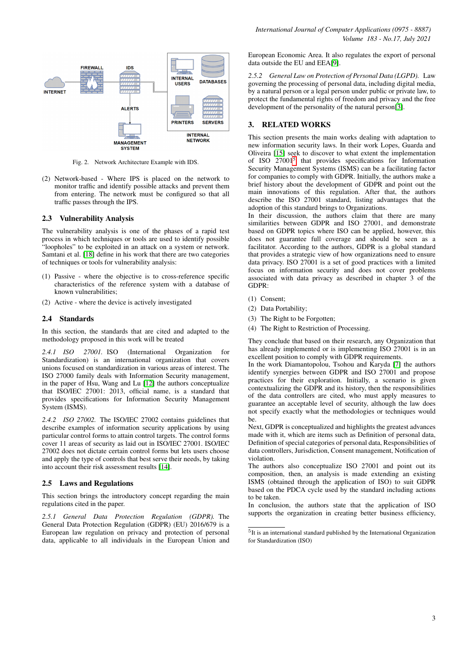

<span id="page-2-1"></span>Fig. 2. Network Architecture Example with IDS.

(2) Network-based - Where IPS is placed on the network to monitor traffic and identify possible attacks and prevent them from entering. The network must be configured so that all traffic passes through the IPS.

#### 2.3 Vulnerability Analysis

The vulnerability analysis is one of the phases of a rapid test process in which techniques or tools are used to identify possible "loopholes" to be exploited in an attack on a system or network. Samtani et al. [\[18\]](#page-7-12) define in his work that there are two categories of techniques or tools for vulnerability analysis:

- (1) Passive where the objective is to cross-reference specific characteristics of the reference system with a database of known vulnerabilities;
- (2) Active where the device is actively investigated

#### 2.4 Standards

In this section, the standards that are cited and adapted to the methodology proposed in this work will be treated

*2.4.1 ISO 27001.* ISO (International Organization for Standardization) is an international organization that covers unions focused on standardization in various areas of interest. The ISO 27000 family deals with Information Security management, in the paper of Hsu, Wang and Lu [\[12\]](#page-7-13) the authors conceptualize that ISO/IEC 27001: 2013, official name, is a standard that provides specifications for Information Security Management System (ISMS).

*2.4.2 ISO 27002.* The ISO/IEC 27002 contains guidelines that describe examples of information security applications by using particular control forms to attain control targets. The control forms cover 11 areas of security as laid out in ISO/IEC 27001. ISO/IEC 27002 does not dictate certain control forms but lets users choose and apply the type of controls that best serve their needs, by taking into account their risk assessment results [\[14\]](#page-7-14).

## 2.5 Laws and Regulations

This section brings the introductory concept regarding the main regulations cited in the paper.

*2.5.1 General Data Protection Regulation (GDPR).* The General Data Protection Regulation (GDPR) (EU) 2016/679 is a European law regulation on privacy and protection of personal data, applicable to all individuals in the European Union and European Economic Area. It also regulates the export of personal data outside the EU and EEA[\[9\]](#page-7-0).

*2.5.2 General Law on Protection of Personal Data (LGPD).* Law governing the processing of personal data, including digital media, by a natural person or a legal person under public or private law, to protect the fundamental rights of freedom and privacy and the free development of the personality of the natural person[\[3\]](#page-7-3).

## <span id="page-2-0"></span>3. RELATED WORKS

This section presents the main works dealing with adaptation to new information security laws. In their work Lopes, Guarda and Oliveira [\[15\]](#page-7-15) seek to discover to what extent the implementation of ISO 27001<sup>[5](#page-2-2)</sup> that provides specifications for Information Security Management Systems (ISMS) can be a facilitating factor for companies to comply with GDPR. Initially, the authors make a brief history about the development of GDPR and point out the main innovations of this regulation. After that, the authors describe the ISO 27001 standard, listing advantages that the adoption of this standard brings to Organizations.

In their discussion, the authors claim that there are many similarities between GDPR and ISO 27001, and demonstrate based on GDPR topics where ISO can be applied, however, this does not guarantee full coverage and should be seen as a facilitator. According to the authors, GDPR is a global standard that provides a strategic view of how organizations need to ensure data privacy. ISO 27001 is a set of good practices with a limited focus on information security and does not cover problems associated with data privacy as described in chapter 3 of the GDPR:

- (1) Consent;
- (2) Data Portability;
- (3) The Right to be Forgotten;
- (4) The Right to Restriction of Processing.

They conclude that based on their research, any Organization that has already implemented or is implementing ISO 27001 is in an excellent position to comply with GDPR requirements.

In the work Diamantopolou, Tsohou and Karyda [\[7\]](#page-7-16) the authors identify synergies between GDPR and ISO 27001 and propose practices for their exploration. Initially, a scenario is given contextualizing the GDPR and its history, then the responsibilities of the data controllers are cited, who must apply measures to guarantee an acceptable level of security, although the law does not specify exactly what the methodologies or techniques would be.

Next, GDPR is conceptualized and highlights the greatest advances made with it, which are items such as Definition of personal data, Definition of special categories of personal data, Responsibilities of data controllers, Jurisdiction, Consent management, Notification of violation.

The authors also conceptualize ISO 27001 and point out its composition, then, an analysis is made extending an existing ISMS (obtained through the application of ISO) to suit GDPR based on the PDCA cycle used by the standard including actions to be taken.

In conclusion, the authors state that the application of ISO supports the organization in creating better business efficiency,

<span id="page-2-2"></span><sup>5</sup> It is an international standard published by the International Organization for Standardization (ISO)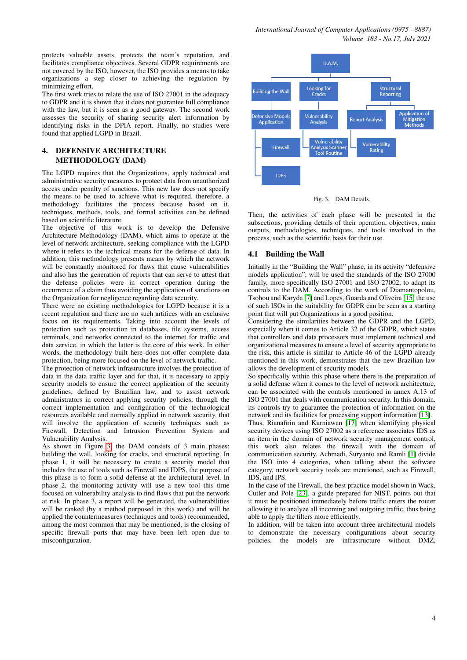protects valuable assets, protects the team's reputation, and facilitates compliance objectives. Several GDPR requirements are not covered by the ISO, however, the ISO provides a means to take organizations a step closer to achieving the regulation by minimizing effort.

The first work tries to relate the use of ISO 27001 in the adequacy to GDPR and it is shown that it does not guarantee full compliance with the law, but it is seen as a good gateway. The second work assesses the security of sharing security alert information by identifying risks in the DPIA report. Finally, no studies were found that applied LGPD in Brazil.

## <span id="page-3-0"></span>4. DEFENSIVE ARCHITECTURE METHODOLOGY (DAM)

The LGPD requires that the Organizations, apply technical and administrative security measures to protect data from unauthorized access under penalty of sanctions. This new law does not specify the means to be used to achieve what is required, therefore, a methodology facilitates the process because based on it, techniques, methods, tools, and formal activities can be defined based on scientific literature.

The objective of this work is to develop the Defensive Architecture Methodology (DAM), which aims to operate at the level of network architecture, seeking compliance with the LGPD where it refers to the technical means for the defense of data. In addition, this methodology presents means by which the network will be constantly monitored for flaws that cause vulnerabilities and also has the generation of reports that can serve to attest that the defense policies were in correct operation during the occurrence of a claim thus avoiding the application of sanctions on the Organization for negligence regarding data security.

There were no existing methodologies for LGPD because it is a recent regulation and there are no such artifices with an exclusive focus on its requirements. Taking into account the levels of protection such as protection in databases, file systems, access terminals, and networks connected to the internet for traffic and data service, in which the latter is the core of this work. In other words, the methodology built here does not offer complete data protection, being more focused on the level of network traffic.

The protection of network infrastructure involves the protection of data in the data traffic layer and for that, it is necessary to apply security models to ensure the correct application of the security guidelines, defined by Brazilian law, and to assist network administrators in correct applying security policies, through the correct implementation and configuration of the technological resources available and normally applied in network security, that will involve the application of security techniques such as Firewall, Detection and Intrusion Prevention System and Vulnerability Analysis.

As shown in Figure [3,](#page-3-1) the DAM consists of 3 main phases: building the wall, looking for cracks, and structural reporting. In phase 1, it will be necessary to create a security model that includes the use of tools such as Firewall and IDPS, the purpose of this phase is to form a solid defense at the architectural level. In phase 2, the monitoring activity will use a new tool this time focused on vulnerability analysis to find flaws that put the network at risk. In phase 3, a report will be generated, the vulnerabilities will be ranked (by a method purposed in this work) and will be applied the countermeasures (techniques and tools) recommended, among the most common that may be mentioned, is the closing of specific firewall ports that may have been left open due to misconfiguration.



<span id="page-3-1"></span>

Then, the activities of each phase will be presented in the subsections, providing details of their operation, objectives, main outputs, methodologies, techniques, and tools involved in the process, such as the scientific basis for their use.

## 4.1 Building the Wall

Initially in the "Building the Wall" phase, in its activity "defensive models application", will be used the standards of the ISO 27000 family, more specifically ISO 27001 and ISO 27002, to adapt its controls to the DAM. According to the work of Diamantopolou, Tsohou and Karyda [\[7\]](#page-7-16) and Lopes, Guarda and Oliveira [\[15\]](#page-7-15) the use of such ISOs in the suitability for GDPR can be seen as a starting point that will put Organizations in a good position.

Considering the similarities between the GDPR and the LGPD, especially when it comes to Article 32 of the GDPR, which states that controllers and data processors must implement technical and organizational measures to ensure a level of security appropriate to the risk, this article is similar to Article 46 of the LGPD already mentioned in this work, demonstrates that the new Brazilian law allows the development of security models.

So specifically within this phase where there is the preparation of a solid defense when it comes to the level of network architecture, can be associated with the controls mentioned in annex A.13 of ISO 27001 that deals with communication security. In this domain, its controls try to guarantee the protection of information on the network and its facilities for processing support information [\[13\]](#page-7-17).

Thus, Rianafirin and Kurniawan [\[17\]](#page-7-18) when identifying physical security devices using ISO 27002 as a reference associates IDS as an item in the domain of network security management control, this work also relates the firewall with the domain of communication security. Achmadi, Suryanto and Ramli [\[1\]](#page-7-19) divide the ISO into 4 categories, when talking about the software category, network security tools are mentioned, such as Firewall, IDS, and IPS.

In the case of the Firewall, the best practice model shown in Wack, Cutler and Pole [\[23\]](#page-7-20), a guide prepared for NIST, points out that it must be positioned immediately before traffic enters the router allowing it to analyze all incoming and outgoing traffic, thus being able to apply the filters more efficiently.

In addition, will be taken into account three architectural models to demonstrate the necessary configurations about security policies, the models are infrastructure without DMZ,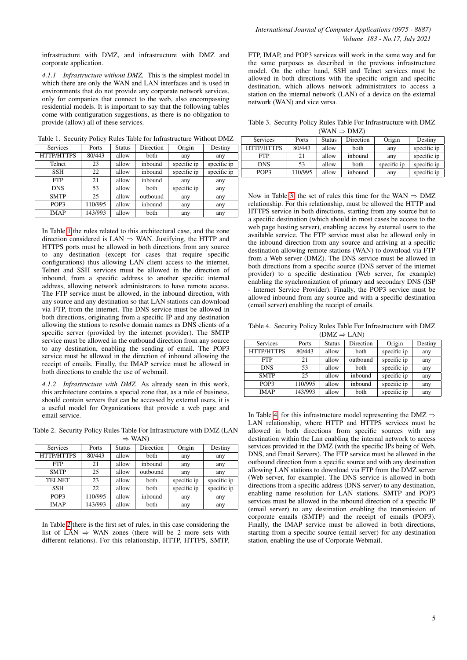infrastructure with DMZ, and infrastructure with DMZ and corporate application.

*4.1.1 Infrastructure without DMZ.* This is the simplest model in which there are only the WAN and LAN interfaces and is used in environments that do not provide any corporate network services, only for companies that connect to the web, also encompassing residential models. It is important to say that the following tables come with configuration suggestions, as there is no obligation to provide (allow) all of these services.

<span id="page-4-0"></span>Table 1. Security Policy Rules Table for Infrastructure Without DMZ

| <b>Services</b> | Ports   | <b>Status</b> | Direction   | Origin      | Destiny     |
|-----------------|---------|---------------|-------------|-------------|-------------|
| HTTP/HTTPS      | 80/443  | allow         | both        | any         | any         |
| Telnet          | 23      | allow         | inbound     | specific ip | specific ip |
| <b>SSH</b>      | 22      | allow         | inbound     | specific ip | specific ip |
| <b>FTP</b>      | 21      | allow         | inbound     | any         | any         |
| <b>DNS</b>      | 53      | allow         | <b>both</b> | specific ip | any         |
| <b>SMTP</b>     | 25      | allow         | outbound    | any         | any         |
| POP3            | 110/995 | allow         | inbound     | any         | any         |
| <b>IMAP</b>     | 143/993 | allow         | both        | any         | any         |

In Table [1](#page-4-0) the rules related to this architectural case, and the zone direction considered is LAN  $\Rightarrow$  WAN. Justifying, the HTTP and HTTPS ports must be allowed in both directions from any source to any destination (except for cases that require specific configurations) thus allowing LAN client access to the internet. Telnet and SSH services must be allowed in the direction of inbound, from a specific address to another specific internal address, allowing network administrators to have remote access. The FTP service must be allowed, in the inbound direction, with any source and any destination so that LAN stations can download via FTP, from the internet. The DNS service must be allowed in both directions, originating from a specific IP and any destination allowing the stations to resolve domain names as DNS clients of a specific server (provided by the internet provider). The SMTP service must be allowed in the outbound direction from any source to any destination, enabling the sending of email. The POP3 service must be allowed in the direction of inbound allowing the receipt of emails. Finally, the IMAP service must be allowed in both directions to enable the use of webmail.

*4.1.2 Infrastructure with DMZ.* As already seen in this work, this architecture contains a special zone that, as a rule of business, should contain servers that can be accessed by external users, it is a useful model for Organizations that provide a web page and email service.

<span id="page-4-1"></span>Table 2. Security Policy Rules Table For Infrastructure with DMZ (LAN

| $\Rightarrow$ WAN |         |               |             |             |             |  |  |
|-------------------|---------|---------------|-------------|-------------|-------------|--|--|
| <b>Services</b>   | Ports   | <b>Status</b> | Direction   | Origin      | Destiny     |  |  |
| HTTP/HTTPS        | 80/443  | allow         | both        | any         | any         |  |  |
| <b>FTP</b>        | 21      | allow         | inbound     | any         | any         |  |  |
| <b>SMTP</b>       | 25      | allow         | outbound    | any         | any         |  |  |
| <b>TELNET</b>     | 23      | allow         | <b>both</b> | specific ip | specific ip |  |  |
| <b>SSH</b>        | 22      | allow         | both        | specific ip | specific ip |  |  |
| POP3              | 110/995 | allow         | inbound     | any         | any         |  |  |
| <b>IMAP</b>       | 143/993 | allow         | both        | any         | any         |  |  |

In Table [2](#page-4-1) there is the first set of rules, in this case considering the list of LAN  $\Rightarrow$  WAN zones (there will be 2 more sets with different relations). For this relationship, HTTP, HTTPS, SMTP, FTP, IMAP, and POP3 services will work in the same way and for the same purposes as described in the previous infrastructure model. On the other hand, SSH and Telnet services must be allowed in both directions with the specific origin and specific destination, which allows network administrators to access a station on the internal network (LAN) of a device on the external network (WAN) and vice versa.

<span id="page-4-2"></span>Table 3. Security Policy Rules Table For Infrastructure with DMZ  $(WAN \Rightarrow DMZ)$ 

| $($ $\overline{M}$ $\overline{M}$ $\rightarrow$ $\overline{M}$ $\overline{M}$ |         |               |           |             |             |  |  |
|-------------------------------------------------------------------------------|---------|---------------|-----------|-------------|-------------|--|--|
| Services                                                                      | Ports   | <b>Status</b> | Direction | Origin      | Destiny     |  |  |
| HTTP/HTTPS                                                                    | 80/443  | allow         | both      | any         | specific ip |  |  |
| <b>FTP</b>                                                                    | 21      | allow         | inbound   | any         | specific ip |  |  |
| <b>DNS</b>                                                                    | 53      | allow         | both      | specific ip | specific ip |  |  |
| POP3                                                                          | 110/995 | allow         | inbound   | any         | specific ip |  |  |

Now in Table [3,](#page-4-2) the set of rules this time for the WAN  $\Rightarrow$  DMZ relationship. For this relationship, must be allowed the HTTP and HTTPS service in both directions, starting from any source but to a specific destination (which should in most cases be access to the web page hosting server), enabling access by external users to the available service. The FTP service must also be allowed only in the inbound direction from any source and arriving at a specific destination allowing remote stations (WAN) to download via FTP from a Web server (DMZ). The DNS service must be allowed in both directions from a specific source (DNS server of the internet provider) to a specific destination (Web server, for example) enabling the synchronization of primary and secondary DNS (ISP - Internet Service Provider). Finally, the POP3 service must be allowed inbound from any source and with a specific destination (email server) enabling the receipt of emails.

<span id="page-4-3"></span>Table 4. Security Policy Rules Table For Infrastructure with DMZ  $(DMZ \rightarrow I \Delta N)$ 

| $L_{11L} \rightarrow L_{11L}$ |         |               |             |             |         |  |
|-------------------------------|---------|---------------|-------------|-------------|---------|--|
| <b>Services</b>               | Ports   | <b>Status</b> | Direction   | Origin      | Destiny |  |
| HTTP/HTTPS                    | 80/443  | allow         | both        | specific ip | any     |  |
| <b>FTP</b>                    | 21      | allow         | outbound    | specific ip | any     |  |
| <b>DNS</b>                    | 53      | allow         | <b>both</b> | specific ip | any     |  |
| <b>SMTP</b>                   | 25      | allow         | inbound     | specific ip | any     |  |
| POP <sub>3</sub>              | 110/995 | allow         | inbound     | specific ip | any     |  |
| <b>IMAP</b>                   | 143/993 | allow         | both        | specific ip | any     |  |

In Table [4,](#page-4-3) for this infrastructure model representing the DMZ  $\Rightarrow$ LAN relationship, where HTTP and HTTPS services must be allowed in both directions from specific sources with any destination within the Lan enabling the internal network to access services provided in the DMZ (with the specific IPs being of Web, DNS, and Email Servers). The FTP service must be allowed in the outbound direction from a specific source and with any destination allowing LAN stations to download via FTP from the DMZ server (Web server, for example). The DNS service is allowed in both directions from a specific address (DNS server) to any destination, enabling name resolution for LAN stations. SMTP and POP3 services must be allowed in the inbound direction of a specific IP (email server) to any destination enabling the transmission of corporate emails (SMTP) and the receipt of emails (POP3). Finally, the IMAP service must be allowed in both directions, starting from a specific source (email server) for any destination station, enabling the use of Corporate Webmail.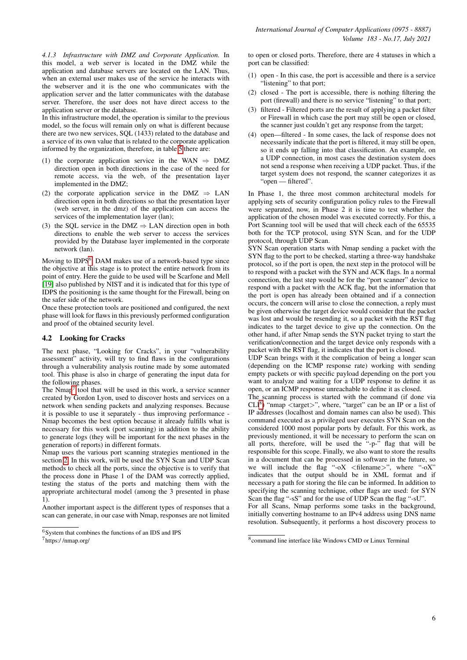*4.1.3 Infrastructure with DMZ and Corporate Application.* In this model, a web server is located in the DMZ while the application and database servers are located on the LAN. Thus, when an external user makes use of the service he interacts with the webserver and it is the one who communicates with the application server and the latter communicates with the database server. Therefore, the user does not have direct access to the application server or the database.

In this infrastructure model, the operation is similar to the previous model, so the focus will remain only on what is different because there are two new services, SQL (1433) related to the database and a service of its own value that is related to the corporate application informed by the organization, therefore, in table [5](#page-6-0) there are:

- (1) the corporate application service in the WAN  $\Rightarrow$  DMZ direction open in both directions in the case of the need for remote access, via the web, of the presentation layer implemented in the DMZ;
- (2) the corporate application service in the DMZ  $\Rightarrow$  LAN direction open in both directions so that the presentation layer (web server, in the dmz) of the application can access the services of the implementation layer (lan);
- (3) the SQL service in the DMZ  $\Rightarrow$  LAN direction open in both directions to enable the web server to access the services provided by the Database layer implemented in the corporate network (lan).

Moving to IDPS<sup>[6](#page-5-0)</sup>, DAM makes use of a network-based type since the objective at this stage is to protect the entire network from its point of entry. Here the guide to be used will be Scarfone and Mell [\[19\]](#page-7-21) also published by NIST and it is indicated that for this type of IDPS the positioning is the same thought for the Firewall, being on the safer side of the network.

Once these protection tools are positioned and configured, the next phase will look for flaws in this previously performed configuration and proof of the obtained security level.

# 4.2 Looking for Cracks

The next phase, "Looking for Cracks", in your "vulnerability assessment" activity, will try to find flaws in the configurations through a vulnerability analysis routine made by some automated tool. This phase is also in charge of generating the input data for the following phases.

The  $Nmap<sup>7</sup>$  $Nmap<sup>7</sup>$  $Nmap<sup>7</sup>$  tool that will be used in this work, a service scanner created by Gordon Lyon, used to discover hosts and services on a network when sending packets and analyzing responses. Because it is possible to use it separately - thus improving performance - Nmap becomes the best option because it already fulfills what is necessary for this work (port scanning) in addition to the ability to generate logs (they will be important for the next phases in the generation of reports) in different formats.

Nmap uses the various port scanning strategies mentioned in the section [2.](#page-1-0) In this work, will be used the SYN Scan and UDP Scan methods to check all the ports, since the objective is to verify that the process done in Phase 1 of the DAM was correctly applied, testing the status of the ports and matching them with the appropriate architectural model (among the 3 presented in phase 1).

Another important aspect is the different types of responses that a scan can generate, in our case with Nmap, responses are not limited to open or closed ports. Therefore, there are 4 statuses in which a port can be classified:

- (1) open In this case, the port is accessible and there is a service "listening" to that port;
- (2) closed The port is accessible, there is nothing filtering the port (firewall) and there is no service "listening" to that port;
- (3) filtered Filtered ports are the result of applying a packet filter or Firewall in which case the port may still be open or closed, the scanner just couldn't get any response from the target;
- (4) open—filtered In some cases, the lack of response does not necessarily indicate that the port is filtered, it may still be open, so it ends up falling into that classification. An example, on a UDP connection, in most cases the destination system does not send a response when receiving a UDP packet. Thus, if the target system does not respond, the scanner categorizes it as "open — filtered".

In Phase 1, the three most common architectural models for applying sets of security configuration policy rules to the Firewall were separated, now, in Phase 2 it is time to test whether the application of the chosen model was executed correctly. For this, a Port Scanning tool will be used that will check each of the 65535 both for the TCP protocol, using SYN Scan, and for the UDP protocol, through UDP Scan.

SYN Scan operation starts with Nmap sending a packet with the SYN flag to the port to be checked, starting a three-way handshake protocol, so if the port is open, the next step in the protocol will be to respond with a packet with the SYN and ACK flags. In a normal connection, the last step would be for the "port scanner" device to respond with a packet with the ACK flag, but the information that the port is open has already been obtained and if a connection occurs, the concern will arise to close the connection, a reply must be given otherwise the target device would consider that the packet was lost and would be resending it, so a packet with the RST flag indicates to the target device to give up the connection. On the other hand, if after Nmap sends the SYN packet trying to start the verification/connection and the target device only responds with a packet with the RST flag, it indicates that the port is closed.

UDP Scan brings with it the complication of being a longer scan (depending on the ICMP response rate) working with sending empty packets or with specific payload depending on the port you want to analyze and waiting for a UDP response to define it as open, or an ICMP response unreachable to define it as closed.

The scanning process is started with the command (if done via CLI<sup>[8](#page-5-2)</sup>) "nmap <target>", where, "target" can be an IP or a list of IP addresses (localhost and domain names can also be used). This command executed as a privileged user executes SYN Scan on the considered 1000 most popular ports by default. For this work, as previously mentioned, it will be necessary to perform the scan on all ports, therefore, will be used the "-p-" flag that will be responsible for this scope. Finally, we also want to store the results in a document that can be processed in software in the future, so we will include the flag "-oX <filename>", where "-oX" indicates that the output should be in XML format and if necessary a path for storing the file can be informed. In addition to specifying the scanning technique, other flags are used: for SYN Scan the flag "-sS" and for the use of UDP Scan the flag "-sU".

For all Scans, Nmap performs some tasks in the background, initially converting hostname to an IPv4 address using DNS name resolution. Subsequently, it performs a host discovery process to

<span id="page-5-0"></span><sup>6</sup>System that combines the functions of an IDS and IPS

<span id="page-5-1"></span><sup>7</sup>https:/ /nmap.org/

<span id="page-5-2"></span><sup>8</sup> command line interface like Windows CMD or Linux Terminal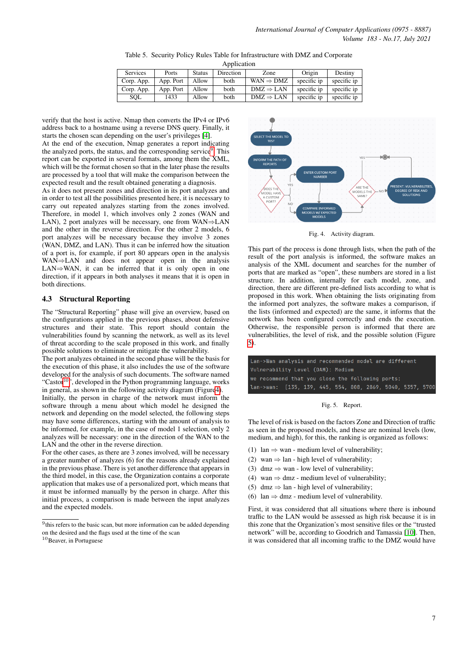<span id="page-6-0"></span>Table 5. Security Policy Rules Table for Infrastructure with DMZ and Corporate

Application

| <b>Services</b> | Ports     | <b>Status</b> | Direction | Zone                  | Origin      | Destiny     |
|-----------------|-----------|---------------|-----------|-----------------------|-------------|-------------|
| Corp. App.      | App. Port | Allow         | both      | $WAN \Rightarrow DMZ$ | specific ip | specific ip |
| Corp. App.      | App. Port | Allow         | both      | $DMZ \Rightarrow$ LAN | specific ip | specific ip |
| SOL             | 1433      | Allow         | both      | $DMZ \Rightarrow$ LAN | specific ip | specific ip |

verify that the host is active. Nmap then converts the IPv4 or IPv6 address back to a hostname using a reverse DNS query. Finally, it starts the chosen scan depending on the user's privileges [\[4\]](#page-7-22).

At the end of the execution, Nmap generates a report indicating the analyzed ports, the status, and the corresponding service<sup>[9](#page-6-1)</sup>. This report can be exported in several formats, among them the XML, which will be the format chosen so that in the later phase the results are processed by a tool that will make the comparison between the expected result and the result obtained generating a diagnosis.

As it does not present zones and direction in its port analyzes and in order to test all the possibilities presented here, it is necessary to carry out repeated analyzes starting from the zones involved. Therefore, in model 1, which involves only 2 zones (WAN and LAN), 2 port analyzes will be necessary, one from WAN⇒LAN and the other in the reverse direction. For the other 2 models, 6 port analyzes will be necessary because they involve 3 zones (WAN, DMZ, and LAN). Thus it can be inferred how the situation of a port is, for example, if port 80 appears open in the analysis WAN⇒LAN and does not appear open in the analysis LAN $\Rightarrow$ WAN, it can be inferred that it is only open in one direction, if it appears in both analyses it means that it is open in both directions.

## 4.3 Structural Reporting

The "Structural Reporting" phase will give an overview, based on the configurations applied in the previous phases, about defensive structures and their state. This report should contain the vulnerabilities found by scanning the network, as well as its level of threat according to the scale proposed in this work, and finally possible solutions to eliminate or mitigate the vulnerability.

The port analyzes obtained in the second phase will be the basis for the execution of this phase, it also includes the use of the software developed for the analysis of such documents. The software named "Castor<sup>[10](#page-6-2)</sup>", developed in the Python programming language, works in general, as shown in the following activity diagram (Figur[e4\)](#page-6-3).

Initially, the person in charge of the network must inform the software through a menu about which model he designed the network and depending on the model selected, the following steps may have some differences, starting with the amount of analysis to be informed, for example, in the case of model 1 selection, only 2 analyzes will be necessary: one in the direction of the WAN to the LAN and the other in the reverse direction.

For the other cases, as there are 3 zones involved, will be necessary a greater number of analyzes (6) for the reasons already explained in the previous phase. There is yet another difference that appears in the third model, in this case, the Organization contains a corporate application that makes use of a personalized port, which means that it must be informed manually by the person in charge. After this initial process, a comparison is made between the input analyzes and the expected models.



<span id="page-6-3"></span>Fig. 4. Activity diagram.

This part of the process is done through lists, when the path of the result of the port analysis is informed, the software makes an analysis of the XML document and searches for the number of ports that are marked as "open", these numbers are stored in a list structure. In addition, internally for each model, zone, and direction, there are different pre-defined lists according to what is proposed in this work. When obtaining the lists originating from the informed port analyzes, the software makes a comparison, if the lists (informed and expected) are the same, it informs that the network has been configured correctly and ends the execution. Otherwise, the responsible person is informed that there are vulnerabilities, the level of risk, and the possible solution (Figure [5\)](#page-6-4).

| Lan->Wan analysis and recommended model are different      |  |
|------------------------------------------------------------|--|
| Vulnerability Level (DAM): Medium                          |  |
| we recommend that you close the following ports:           |  |
| lan->wan: [135, 139, 445, 554, 808, 2869, 5040, 5357, 5700 |  |

<span id="page-6-4"></span>Fig. 5. Report.

The level of risk is based on the factors Zone and Direction of traffic as seen in the proposed models, and these are nominal levels (low, medium, and high), for this, the ranking is organized as follows:

- (1)  $lan \Rightarrow wan$  medium level of vulnerability;
- (2) wan  $\Rightarrow$  lan high level of vulnerability;
- (3) dmz  $\Rightarrow$  wan low level of vulnerability;
- (4) wan  $\Rightarrow$  dmz medium level of vulnerability;
- (5) dmz  $\Rightarrow$  lan high level of vulnerability;
- (6) lan  $\Rightarrow$  dmz medium level of vulnerability.

First, it was considered that all situations where there is inbound traffic to the LAN would be assessed as high risk because it is in this zone that the Organization's most sensitive files or the "trusted network" will be, according to Goodrich and Tamassia [\[10\]](#page-7-23). Then, it was considered that all incoming traffic to the DMZ would have

<span id="page-6-1"></span><sup>&</sup>lt;sup>9</sup>this refers to the basic scan, but more information can be added depending on the desired and the flags used at the time of the scan

<span id="page-6-2"></span><sup>&</sup>lt;sup>10</sup>Beaver, in Portuguese